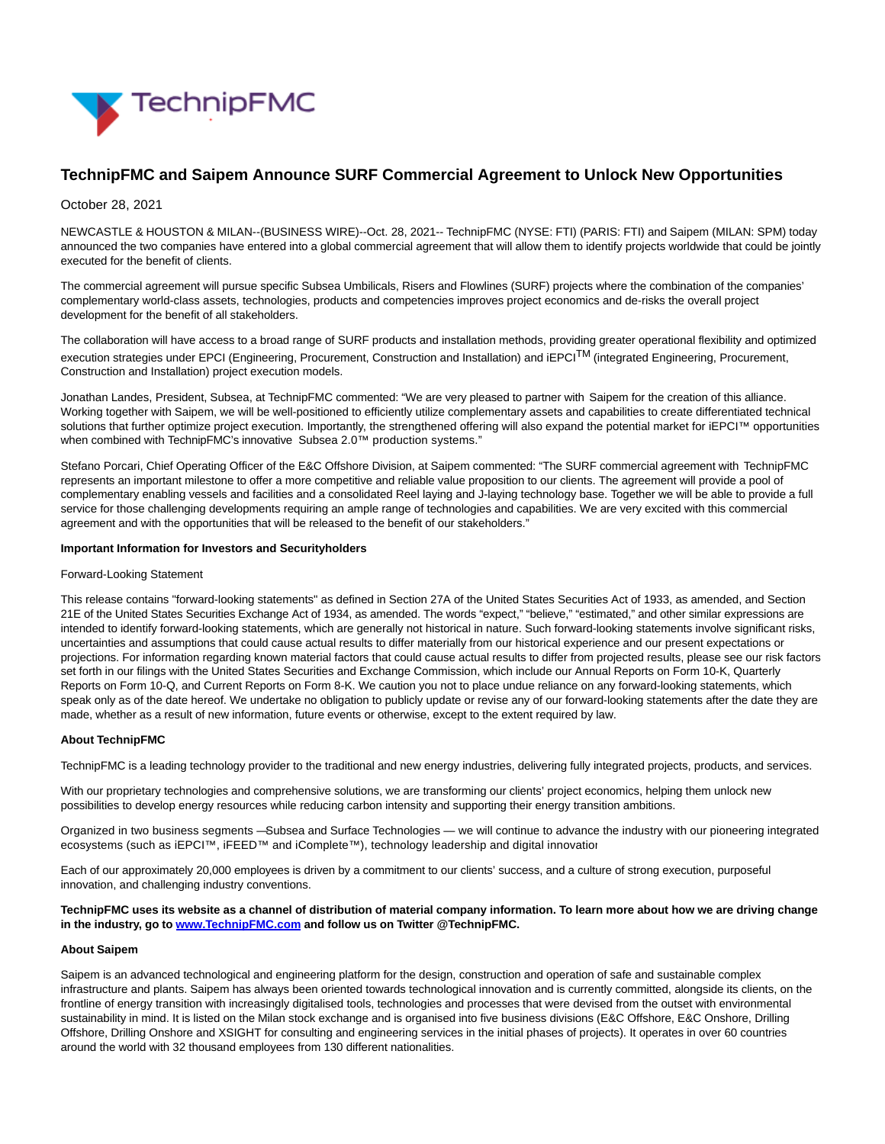

# **TechnipFMC and Saipem Announce SURF Commercial Agreement to Unlock New Opportunities**

# October 28, 2021

NEWCASTLE & HOUSTON & MILAN--(BUSINESS WIRE)--Oct. 28, 2021-- TechnipFMC (NYSE: FTI) (PARIS: FTI) and Saipem (MILAN: SPM) today announced the two companies have entered into a global commercial agreement that will allow them to identify projects worldwide that could be jointly executed for the benefit of clients.

The commercial agreement will pursue specific Subsea Umbilicals, Risers and Flowlines (SURF) projects where the combination of the companies' complementary world-class assets, technologies, products and competencies improves project economics and de-risks the overall project development for the benefit of all stakeholders.

The collaboration will have access to a broad range of SURF products and installation methods, providing greater operational flexibility and optimized execution strategies under EPCI (Engineering, Procurement, Construction and Installation) and iEPCITM (integrated Engineering, Procurement, Construction and Installation) project execution models.

Jonathan Landes, President, Subsea, at TechnipFMC commented: "We are very pleased to partner with Saipem for the creation of this alliance. Working together with Saipem, we will be well-positioned to efficiently utilize complementary assets and capabilities to create differentiated technical solutions that further optimize project execution. Importantly, the strengthened offering will also expand the potential market for iEPCI™ opportunities when combined with TechnipFMC's innovative Subsea 2.0™ production systems."

Stefano Porcari, Chief Operating Officer of the E&C Offshore Division, at Saipem commented: "The SURF commercial agreement with TechnipFMC represents an important milestone to offer a more competitive and reliable value proposition to our clients. The agreement will provide a pool of complementary enabling vessels and facilities and a consolidated Reel laying and J-laying technology base. Together we will be able to provide a full service for those challenging developments requiring an ample range of technologies and capabilities. We are very excited with this commercial agreement and with the opportunities that will be released to the benefit of our stakeholders."

#### **Important Information for Investors and Securityholders**

#### Forward-Looking Statement

This release contains "forward-looking statements" as defined in Section 27A of the United States Securities Act of 1933, as amended, and Section 21E of the United States Securities Exchange Act of 1934, as amended. The words "expect," "believe," "estimated," and other similar expressions are intended to identify forward-looking statements, which are generally not historical in nature. Such forward-looking statements involve significant risks, uncertainties and assumptions that could cause actual results to differ materially from our historical experience and our present expectations or projections. For information regarding known material factors that could cause actual results to differ from projected results, please see our risk factors set forth in our filings with the United States Securities and Exchange Commission, which include our Annual Reports on Form 10-K, Quarterly Reports on Form 10-Q, and Current Reports on Form 8-K. We caution you not to place undue reliance on any forward-looking statements, which speak only as of the date hereof. We undertake no obligation to publicly update or revise any of our forward-looking statements after the date they are made, whether as a result of new information, future events or otherwise, except to the extent required by law.

### **About TechnipFMC**

TechnipFMC is a leading technology provider to the traditional and new energy industries, delivering fully integrated projects, products, and services.

With our proprietary technologies and comprehensive solutions, we are transforming our clients' project economics, helping them unlock new possibilities to develop energy resources while reducing carbon intensity and supporting their energy transition ambitions.

Organized in two business segments — Subsea and Surface Technologies — we will continue to advance the industry with our pioneering integrated ecosystems (such as iEPCI™, iFEED™ and iComplete™), technology leadership and digital innovation.

Each of our approximately 20,000 employees is driven by a commitment to our clients' success, and a culture of strong execution, purposeful innovation, and challenging industry conventions.

#### **TechnipFMC uses its website as a channel of distribution of material company information. To learn more about how we are driving change in the industry, go to [www.TechnipFMC.com a](https://cts.businesswire.com/ct/CT?id=smartlink&url=http%3A%2F%2Fwww.technipfmc.com%2F&esheet=52516897&newsitemid=20211027006055&lan=en-US&anchor=www.TechnipFMC.com&index=1&md5=7414ee9c439a1ca2a270bf1e956085b6)nd follow us on Twitter @TechnipFMC.**

### **About Saipem**

Saipem is an advanced technological and engineering platform for the design, construction and operation of safe and sustainable complex infrastructure and plants. Saipem has always been oriented towards technological innovation and is currently committed, alongside its clients, on the frontline of energy transition with increasingly digitalised tools, technologies and processes that were devised from the outset with environmental sustainability in mind. It is listed on the Milan stock exchange and is organised into five business divisions (E&C Offshore, E&C Onshore, Drilling Offshore, Drilling Onshore and XSIGHT for consulting and engineering services in the initial phases of projects). It operates in over 60 countries around the world with 32 thousand employees from 130 different nationalities.